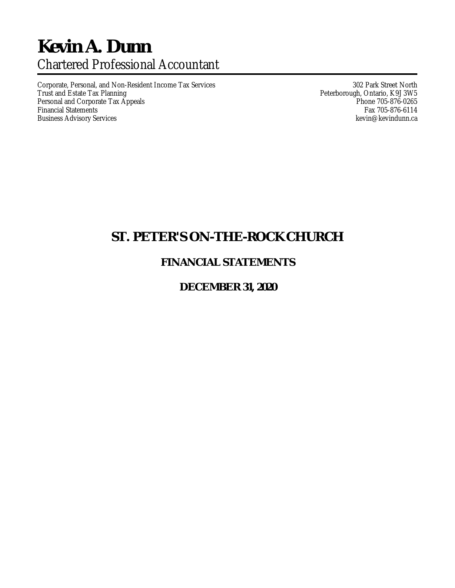# **Kevin A. Dunn** Chartered Professional Accountant

Corporate, Personal, and Non-Resident Income Tax Services 302 Park Street North<br>Trust and Estate Tax Planning 302 Park Street North 1 Peterborough, Ontario, K9J 3W5 Personal and Corporate Tax Appeals<br>Financial Statements **Phone 705-876-0265**<br>Fax 705-876-6114 Financial Statements Fax 705-876-6114<br>Business Advisory Services Fax 705-876-6114 Business Advisory Services

Peterborough, Ontario, K9J 3W5<br>Phone 705-876-0265

## **ST. PETER'S ON-THE-ROCK CHURCH**

### **FINANCIAL STATEMENTS**

### **DECEMBER 31, 2020**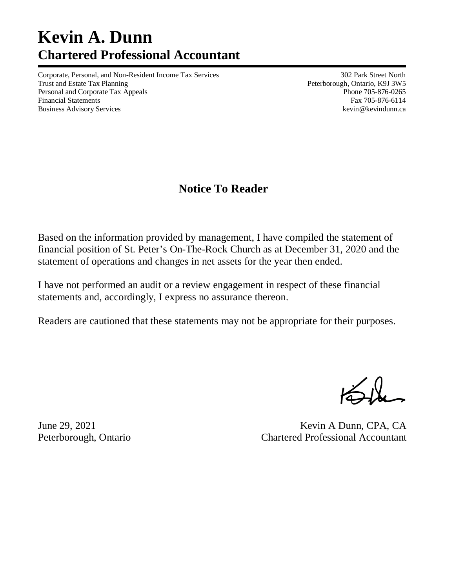# **Kevin A. Dunn Chartered Professional Accountant**

Corporate, Personal, and Non-Resident Income Tax Services 302 Park Street North Trust and Estate Tax Planning **Peterborough, Ontario, K9J 3W5** Peterborough, Ontario, K9J 3W5 Personal and Corporate Tax Appeals **Phone 705-876-0265** Financial Statements Fax 705-876-6114 Business Advisory Services **and Services** kevindunn.ca

## **Notice To Reader**

Based on the information provided by management, I have compiled the statement of financial position of St. Peter's On-The-Rock Church as at December 31, 2020 and the statement of operations and changes in net assets for the year then ended.

I have not performed an audit or a review engagement in respect of these financial statements and, accordingly, I express no assurance thereon.

Readers are cautioned that these statements may not be appropriate for their purposes.

June 29, 2021 Kevin A Dunn, CPA, CA Peterborough, Ontario Chartered Professional Accountant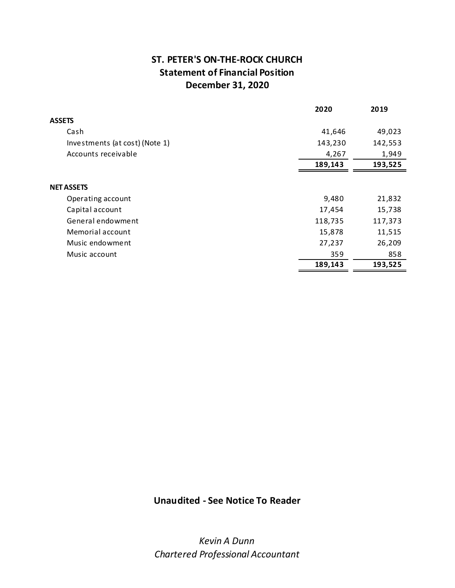### ST. PETER'S ON-THE-ROCK CHURCH Statement of Financial Position December 31, 2020

|                                | 2020    | 2019    |
|--------------------------------|---------|---------|
| <b>ASSETS</b>                  |         |         |
| Cash                           | 41,646  | 49,023  |
| Investments (at cost) (Note 1) | 143,230 | 142,553 |
| Accounts receivable            | 4,267   | 1,949   |
|                                | 189,143 | 193,525 |
|                                |         |         |
| <b>NET ASSETS</b>              |         |         |
| Operating account              | 9,480   | 21,832  |
| Capital account                | 17,454  | 15,738  |
| General endowment              | 118,735 | 117,373 |
| Memorial account               | 15,878  | 11,515  |
| Music endowment                | 27,237  | 26,209  |
| Music account                  | 359     | 858     |
|                                | 189,143 | 193,525 |

### Unaudited - See Notice To Reader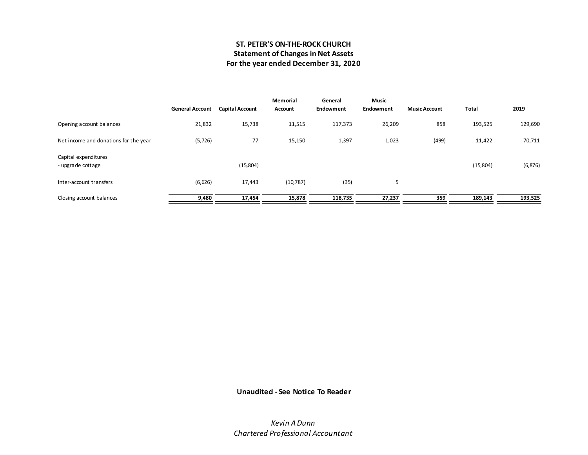### ST. PETER'S ON-THE-ROCK CHURCH Statement of Changes in Net Assets For the year ended December 31, 2020

|                                           | <b>General Account</b> | <b>Capital Account</b> | <b>Memorial</b><br>Account | General<br>Endowment | <b>Music</b><br>Endowment | <b>Music Account</b> | Total    | 2019     |
|-------------------------------------------|------------------------|------------------------|----------------------------|----------------------|---------------------------|----------------------|----------|----------|
| Opening account balances                  | 21,832                 | 15,738                 | 11,515                     | 117,373              | 26,209                    | 858                  | 193,525  | 129,690  |
| Net income and donations for the year     | (5, 726)               | 77                     | 15,150                     | 1,397                | 1,023                     | (499)                | 11,422   | 70,711   |
| Capital expenditures<br>- upgrade cottage |                        | (15,804)               |                            |                      |                           |                      | (15,804) | (6, 876) |
| Inter-account transfers                   | (6,626)                | 17,443                 | (10, 787)                  | (35)                 | 5                         |                      |          |          |
| Closing account balances                  | 9,480                  | 17,454                 | 15,878                     | 118,735              | 27,237                    | 359                  | 189,143  | 193,525  |

### Unaudited - See Notice To Reader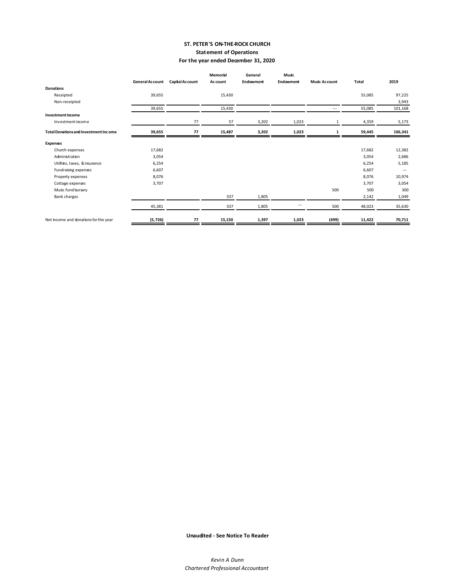#### ST. PETER'S ON-THE-ROCK CHURCH Statement of Operations For the year ended December 31, 2020

|                                              |                 |                 | <b>Memorial</b> | General   | Music                    |                      |              |                          |
|----------------------------------------------|-----------------|-----------------|-----------------|-----------|--------------------------|----------------------|--------------|--------------------------|
|                                              | General Account | Capital Account | Ac count        | Endowment | <b>Endowment</b>         | <b>Music Account</b> | <b>Total</b> | 2019                     |
| <b>Donations</b>                             |                 |                 |                 |           |                          |                      |              |                          |
| Receipted                                    | 39,655          |                 | 15,430          |           |                          |                      | 55,085       | 97,225                   |
| Non-receipted                                |                 |                 |                 |           |                          |                      |              | 3,943                    |
|                                              | 39,655          |                 | 15,430          |           |                          | ---                  | 55,085       | 101,168                  |
| Investmentincome                             |                 |                 |                 |           |                          |                      |              |                          |
| Investment income                            |                 | 77              | 57              | 3,202     | 1,023                    | 1                    | 4,359        | 5,173                    |
| <b>Total Donations and Investment Income</b> | 39,655          | 77              | 15,487          | 3,202     | 1,023                    | 1                    | 59,445       | 106,341                  |
| <b>Expenses</b>                              |                 |                 |                 |           |                          |                      |              |                          |
| Church expenses                              | 17,682          |                 |                 |           |                          |                      | 17,682       | 12,382                   |
| Administration                               | 3,054           |                 |                 |           |                          |                      | 3,054        | 2,686                    |
| Utilities, taxes, & insurance                | 6,254           |                 |                 |           |                          |                      | 6,254        | 5,185                    |
| Fundraising expenses                         | 6,607           |                 |                 |           |                          |                      | 6,607        | $\overline{\phantom{a}}$ |
| Property expenses                            | 8,076           |                 |                 |           |                          |                      | 8,076        | 10,974                   |
| Cottage expenses                             | 3,707           |                 |                 |           |                          |                      | 3,707        | 3,054                    |
| Music fund bursary                           |                 |                 |                 |           |                          | 500                  | 500          | 300                      |
| <b>Bank charges</b>                          |                 |                 | 337             | 1,805     |                          |                      | 2,142        | 1,049                    |
|                                              | 45,381          |                 | 337             | 1,805     | $\overline{\phantom{a}}$ | 500                  | 48,023       | 35,630                   |
| Net income and donations for the year        | (5, 726)        | 77              | 15,150          | 1,397     | 1,023                    | (499)                | 11,422       | 70,711                   |

Unaudited - See Notice To Reader